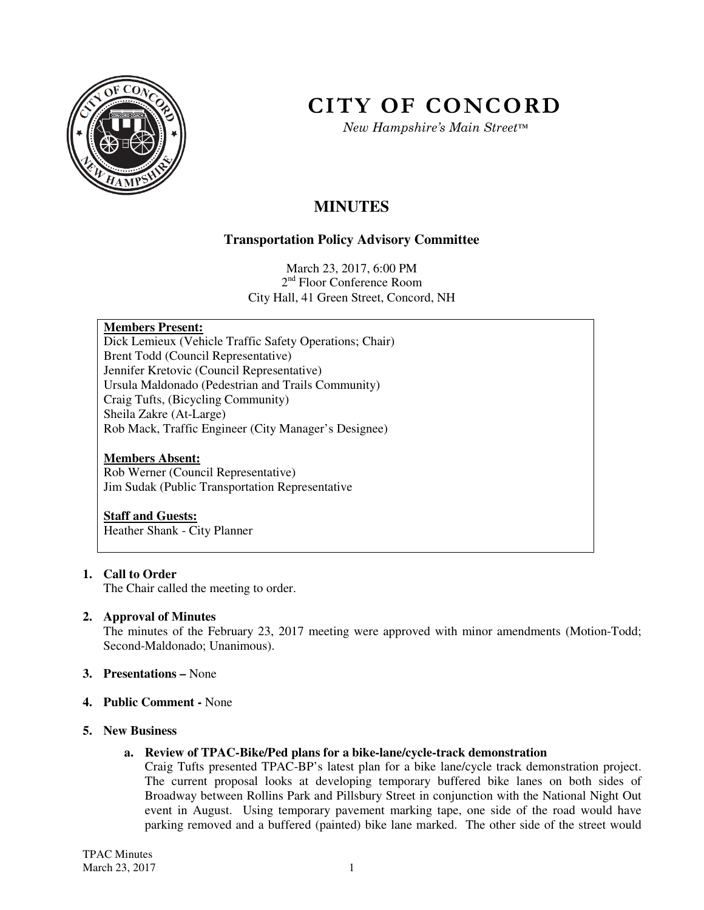

# **CITY OF CONCORD**

*New Hampshire's Main Street™*

## **MINUTES**

## **Transportation Policy Advisory Committee**

March 23, 2017, 6:00 PM 2<sup>nd</sup> Floor Conference Room City Hall, 41 Green Street, Concord, NH

## **Members Present:**

Dick Lemieux (Vehicle Traffic Safety Operations; Chair) Brent Todd (Council Representative) Jennifer Kretovic (Council Representative) Ursula Maldonado (Pedestrian and Trails Community) Craig Tufts, (Bicycling Community) Sheila Zakre (At-Large) Rob Mack, Traffic Engineer (City Manager's Designee)

### **Members Absent:**

Rob Werner (Council Representative) Jim Sudak (Public Transportation Representative

#### **Staff and Guests:**

Heather Shank - City Planner

## **1. Call to Order**

The Chair called the meeting to order.

## **2. Approval of Minutes**

The minutes of the February 23, 2017 meeting were approved with minor amendments (Motion-Todd; Second-Maldonado; Unanimous).

- **3. Presentations** None
- **4. Public Comment** None
- **5. New Business**

## **a. Review of TPAC-Bike/Ped plans for a bike-lane/cycle-track demonstration**

Craig Tufts presented TPAC-BP's latest plan for a bike lane/cycle track demonstration project. The current proposal looks at developing temporary buffered bike lanes on both sides of Broadway between Rollins Park and Pillsbury Street in conjunction with the National Night Out event in August. Using temporary pavement marking tape, one side of the road would have parking removed and a buffered (painted) bike lane marked. The other side of the street would

TPAC Minutes March 23, 2017 1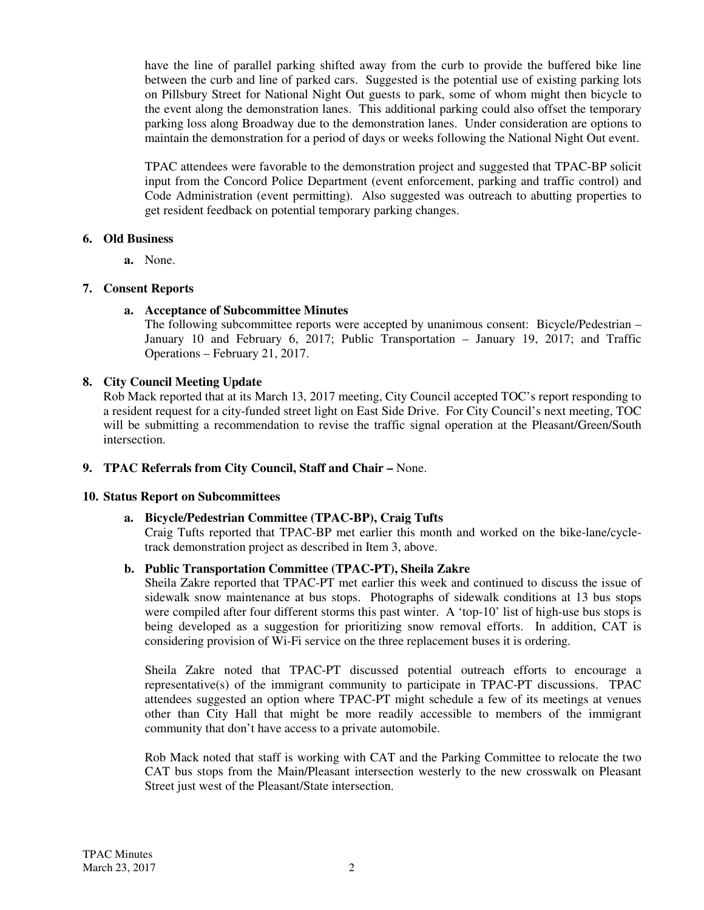have the line of parallel parking shifted away from the curb to provide the buffered bike line between the curb and line of parked cars. Suggested is the potential use of existing parking lots on Pillsbury Street for National Night Out guests to park, some of whom might then bicycle to the event along the demonstration lanes. This additional parking could also offset the temporary parking loss along Broadway due to the demonstration lanes. Under consideration are options to maintain the demonstration for a period of days or weeks following the National Night Out event.

TPAC attendees were favorable to the demonstration project and suggested that TPAC-BP solicit input from the Concord Police Department (event enforcement, parking and traffic control) and Code Administration (event permitting). Also suggested was outreach to abutting properties to get resident feedback on potential temporary parking changes.

#### **6. Old Business**

**a.** None.

## **7. Consent Reports**

## **a. Acceptance of Subcommittee Minutes**

The following subcommittee reports were accepted by unanimous consent: Bicycle/Pedestrian – January 10 and February 6, 2017; Public Transportation – January 19, 2017; and Traffic Operations – February 21, 2017.

## **8. City Council Meeting Update**

Rob Mack reported that at its March 13, 2017 meeting, City Council accepted TOC's report responding to a resident request for a city-funded street light on East Side Drive. For City Council's next meeting, TOC will be submitting a recommendation to revise the traffic signal operation at the Pleasant/Green/South intersection.

## **9. TPAC Referrals from City Council, Staff and Chair –** None.

## **10. Status Report on Subcommittees**

## **a. Bicycle/Pedestrian Committee (TPAC-BP), Craig Tufts**

Craig Tufts reported that TPAC-BP met earlier this month and worked on the bike-lane/cycletrack demonstration project as described in Item 3, above.

## **b. Public Transportation Committee (TPAC-PT), Sheila Zakre**

Sheila Zakre reported that TPAC-PT met earlier this week and continued to discuss the issue of sidewalk snow maintenance at bus stops. Photographs of sidewalk conditions at 13 bus stops were compiled after four different storms this past winter. A 'top-10' list of high-use bus stops is being developed as a suggestion for prioritizing snow removal efforts. In addition, CAT is considering provision of Wi-Fi service on the three replacement buses it is ordering.

Sheila Zakre noted that TPAC-PT discussed potential outreach efforts to encourage a representative(s) of the immigrant community to participate in TPAC-PT discussions. TPAC attendees suggested an option where TPAC-PT might schedule a few of its meetings at venues other than City Hall that might be more readily accessible to members of the immigrant community that don't have access to a private automobile.

Rob Mack noted that staff is working with CAT and the Parking Committee to relocate the two CAT bus stops from the Main/Pleasant intersection westerly to the new crosswalk on Pleasant Street just west of the Pleasant/State intersection.